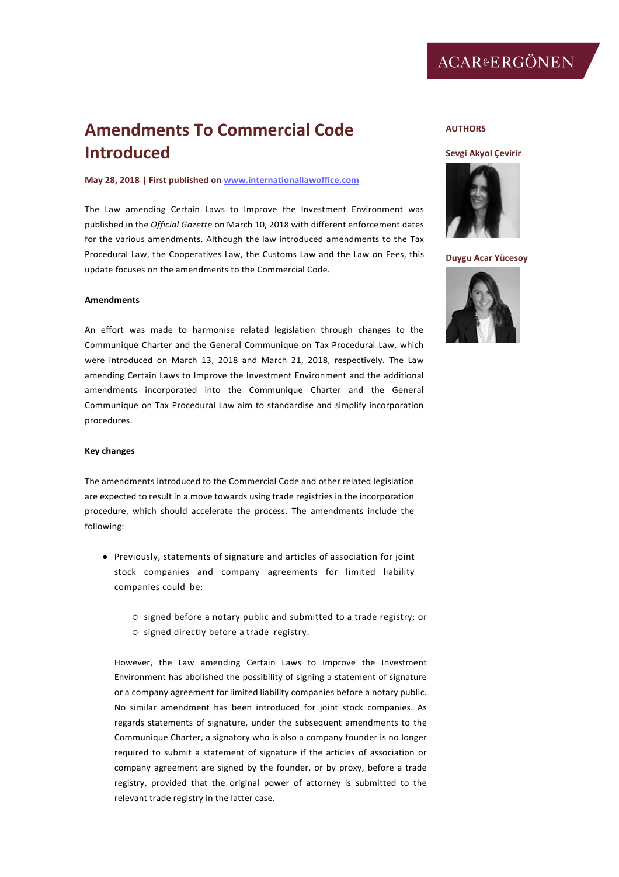# **Amendments To Commercial Code Introduced**

### **May 28, 2018 | First published o[n www.internationallawoffice.com](http://www.internationallawoffice.com/)**

The Law amending Certain Laws to Improve the Investment Environment was published in the *Official Gazette* on March 10, 2018 with different enforcement dates for the various amendments. Although the law introduced amendments to the Tax Procedural Law, the Cooperatives Law, the Customs Law and the Law on Fees, this update focuses on the amendments to the Commercial Code.

#### **Amendments**

An effort was made to harmonise related legislation through changes to the Communique Charter and the General Communique on Tax Procedural Law, which were introduced on March 13, 2018 and March 21, 2018, respectively. The Law amending Certain Laws to Improve the Investment Environment and the additional amendments incorporated into the Communique Charter and the General Communique on Tax Procedural Law aim to standardise and simplify incorporation procedures.

## **Key changes**

The amendments introduced to the Commercial Code and other related legislation are expected to result in a move towards using trade registries in the incorporation procedure, which should accelerate the process. The amendments include the following:

- Previously, statements of signature and articles of association for joint stock companies and company agreements for limited liability companies could be:
	- o signed before a notary public and submitted to a trade registry; or  $\circ$  signed directly before a trade registry.

However, the Law amending Certain Laws to Improve the Investment Environment has abolished the possibility of signing a statement of signature or a company agreement for limited liability companies before a notary public. No similar amendment has been introduced for joint stock companies. As regards statements of signature, under the subsequent amendments to the Communique Charter, a signatory who is also a company founder is no longer required to submit a statement of signature if the articles of association or company agreement are signed by the founder, or by proxy, before a trade registry, provided that the original power of attorney is submitted to the relevant trade registry in the latter case.

### **AUTHORS**

# **[Sevgi Akyol](http://www.internationallawoffice.com/gesr.ashx?l=7VRT4MU) [Çevirir](http://www.internationallawoffice.com/gesr.ashx?l=7VRT4MU)**



**[Duygu Acar Yücesoy](http://www.internationallawoffice.com/gesr.ashx?l=7VRT4MR)**